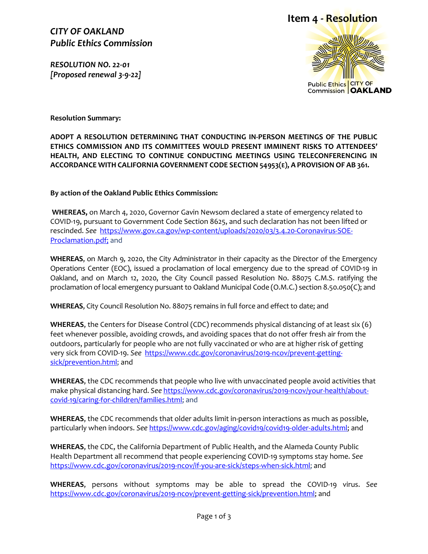*CITY OF OAKLAND Public Ethics Commission*

*RESOLUTION NO. 22-01 [Proposed renewal 3-9-22]* 

## **Item 4 - Resolution**



**Resolution Summary:**

**ADOPT A RESOLUTION DETERMINING THAT CONDUCTING IN-PERSON MEETINGS OF THE PUBLIC ETHICS COMMISSION AND ITS COMMITTEES WOULD PRESENT IMMINENT RISKS TO ATTENDEES' HEALTH, AND ELECTING TO CONTINUE CONDUCTING MEETINGS USING TELECONFERENCING IN ACCORDANCE WITH CALIFORNIA GOVERNMENT CODE SECTION 54953(E), A PROVISION OF AB 361.**

**By action of the Oakland Public Ethics Commission:**

**WHEREAS,** on March 4, 2020, Governor Gavin Newsom declared a state of emergency related to COVID-19, pursuant to Government Code Section 8625, and such declaration has not been lifted or rescinded. *See* [https://www.gov.ca.gov/wp-content/uploads/2020/03/3.4.20-Coronavirus-SOE-](https://www.gov.ca.gov/wp-content/uploads/2020/03/3.4.20-Coronavirus-SOE-Proclamation.pdf)[Proclamation.pdf;](https://www.gov.ca.gov/wp-content/uploads/2020/03/3.4.20-Coronavirus-SOE-Proclamation.pdf) and

**WHEREAS**, on March 9, 2020, the City Administrator in their capacity as the Director of the Emergency Operations Center (EOC), issued a proclamation of local emergency due to the spread of COVID-19 in Oakland, and on March 12, 2020, the City Council passed Resolution No. 88075 C.M.S. ratifying the proclamation of local emergency pursuant to Oakland Municipal Code (O.M.C.) section 8.50.050(C); and

**WHEREAS**, City Council Resolution No. 88075 remains in full force and effect to date; and

**WHEREAS**, the Centers for Disease Control (CDC) recommends physical distancing of at least six (6) feet whenever possible, avoiding crowds, and avoiding spaces that do not offer fresh air from the outdoors, particularly for people who are not fully vaccinated or who are at higher risk of getting very sick from COVID-19. *See* [https://www.cdc.gov/coronavirus/2019-ncov/prevent-getting](https://www.cdc.gov/coronavirus/2019-ncov/prevent-getting-sick/prevention.html)[sick/prevention.html;](https://www.cdc.gov/coronavirus/2019-ncov/prevent-getting-sick/prevention.html) and

**WHEREAS**, the CDC recommends that people who live with unvaccinated people avoid activities that make physical distancing hard. *See* [https://www.cdc.gov/coronavirus/2019-ncov/your-health/about](https://www.cdc.gov/coronavirus/2019-ncov/your-health/about-covid-19/caring-for-children/families.html)[covid-19/caring-for-children/families.html;](https://www.cdc.gov/coronavirus/2019-ncov/your-health/about-covid-19/caring-for-children/families.html) and

**WHEREAS**, the CDC recommends that older adults limit in-person interactions as much as possible, particularly when indoors. *See* [https://www.cdc.gov/aging/covid19/covid19-older-adults.html;](https://www.cdc.gov/aging/covid19/covid19-older-adults.html) and

**WHEREAS**, the CDC, the California Department of Public Health, and the Alameda County Public Health Department all recommend that people experiencing COVID-19 symptoms stay home. *See* [https://www.cdc.gov/coronavirus/2019-ncov/if-you-are-sick/steps-when-sick.html;](https://www.cdc.gov/coronavirus/2019-ncov/if-you-are-sick/steps-when-sick.html) and

**WHEREAS**, persons without symptoms may be able to spread the COVID-19 virus. *See*  [https://www.cdc.gov/coronavirus/2019-ncov/prevent-getting-sick/prevention.html;](https://www.cdc.gov/coronavirus/2019-ncov/prevent-getting-sick/prevention.html) and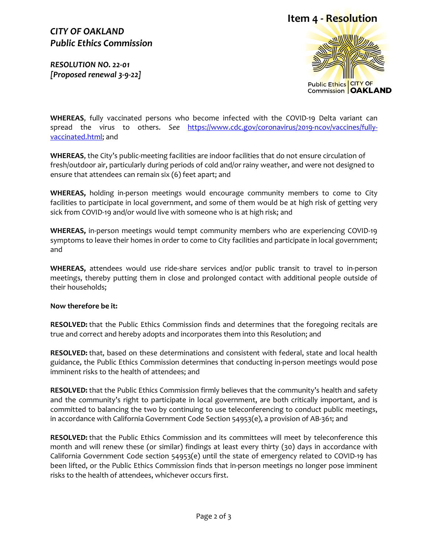### *CITY OF OAKLAND Public Ethics Commission*

*RESOLUTION NO. 22-01 [Proposed renewal 3-9-22]* 





**WHEREAS**, fully vaccinated persons who become infected with the COVID-19 Delta variant can spread the virus to others. *See* [https://www.cdc.gov/coronavirus/2019-ncov/vaccines/fully](https://www.cdc.gov/coronavirus/2019-ncov/vaccines/fully-vaccinated.html)[vaccinated.html;](https://www.cdc.gov/coronavirus/2019-ncov/vaccines/fully-vaccinated.html) and

**WHEREAS**, the City's public-meeting facilities are indoor facilities that do not ensure circulation of fresh/outdoor air, particularly during periods of cold and/or rainy weather, and were not designed to ensure that attendees can remain six (6) feet apart; and

**WHEREAS,** holding in-person meetings would encourage community members to come to City facilities to participate in local government, and some of them would be at high risk of getting very sick from COVID-19 and/or would live with someone who is at high risk; and

**WHEREAS,** in-person meetings would tempt community members who are experiencing COVID-19 symptoms to leave their homes in order to come to City facilities and participate in local government; and

**WHEREAS,** attendees would use ride-share services and/or public transit to travel to in-person meetings, thereby putting them in close and prolonged contact with additional people outside of their households;

#### **Now therefore be it:**

**RESOLVED:** that the Public Ethics Commission finds and determines that the foregoing recitals are true and correct and hereby adopts and incorporates them into this Resolution; and

**RESOLVED:** that, based on these determinations and consistent with federal, state and local health guidance, the Public Ethics Commission determines that conducting in-person meetings would pose imminent risks to the health of attendees; and

**RESOLVED:** that the Public Ethics Commission firmly believes that the community's health and safety and the community's right to participate in local government, are both critically important, and is committed to balancing the two by continuing to use teleconferencing to conduct public meetings, in accordance with California Government Code Section 54953(e), a provision of AB-361; and

**RESOLVED:** that the Public Ethics Commission and its committees will meet by teleconference this month and will renew these (or similar) findings at least every thirty (30) days in accordance with California Government Code section 54953(e) until the state of emergency related to COVID-19 has been lifted, or the Public Ethics Commission finds that in-person meetings no longer pose imminent risks to the health of attendees, whichever occurs first.